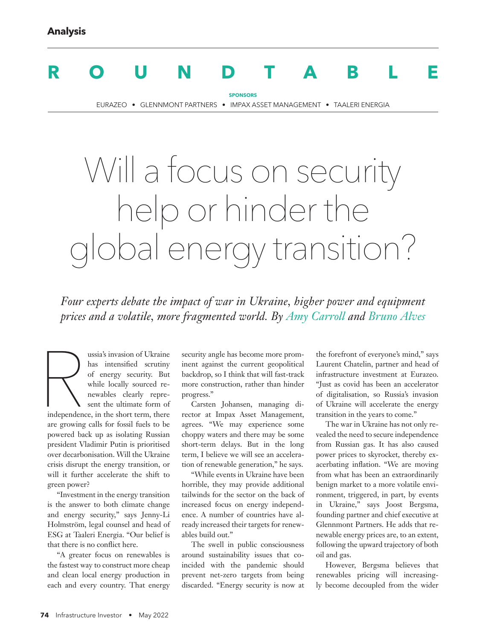# **ROUNDTABLE**

**SPONSORS** EURAZEO • GLENNMONT PARTNERS • IMPAX ASSET MANAGEMENT • TAALERI ENERGIA

# Will a focus on security help or hinder the global energy transition?

*Four experts debate the impact of war in Ukraine, higher power and equipment prices and a volatile, more fragmented world. By Amy Carroll and Bruno Alves*

Repeated independence ussia's invasion of Ukraine has intensified scrutiny of energy security. But while locally sourced renewables clearly represent the ultimate form of independence, in the short term, there are growing calls for fossil fuels to be powered back up as isolating Russian president Vladimir Putin is prioritised over decarbonisation. Will the Ukraine crisis disrupt the energy transition, or will it further accelerate the shift to green power?

"Investment in the energy transition is the answer to both climate change and energy security," says Jenny-Li Holmström, legal counsel and head of ESG at Taaleri Energia. "Our belief is that there is no conflict here.

"A greater focus on renewables is the fastest way to construct more cheap and clean local energy production in each and every country. That energy

security angle has become more prominent against the current geopolitical backdrop, so I think that will fast-track more construction, rather than hinder progress."

Carsten Johansen, managing director at Impax Asset Management, agrees. "We may experience some choppy waters and there may be some short-term delays. But in the long term, I believe we will see an acceleration of renewable generation," he says.

"While events in Ukraine have been horrible, they may provide additional tailwinds for the sector on the back of increased focus on energy independence. A number of countries have already increased their targets for renewables build out."

The swell in public consciousness around sustainability issues that coincided with the pandemic should prevent net-zero targets from being discarded. "Energy security is now at the forefront of everyone's mind," says Laurent Chatelin, partner and head of infrastructure investment at Eurazeo. "Just as covid has been an accelerator of digitalisation, so Russia's invasion of Ukraine will accelerate the energy transition in the years to come."

The war in Ukraine has not only revealed the need to secure independence from Russian gas. It has also caused power prices to skyrocket, thereby exacerbating inflation. "We are moving from what has been an extraordinarily benign market to a more volatile environment, triggered, in part, by events in Ukraine," says Joost Bergsma, founding partner and chief executive at Glennmont Partners. He adds that renewable energy prices are, to an extent, following the upward trajectory of both oil and gas.

However, Bergsma believes that renewables pricing will increasingly become decoupled from the wider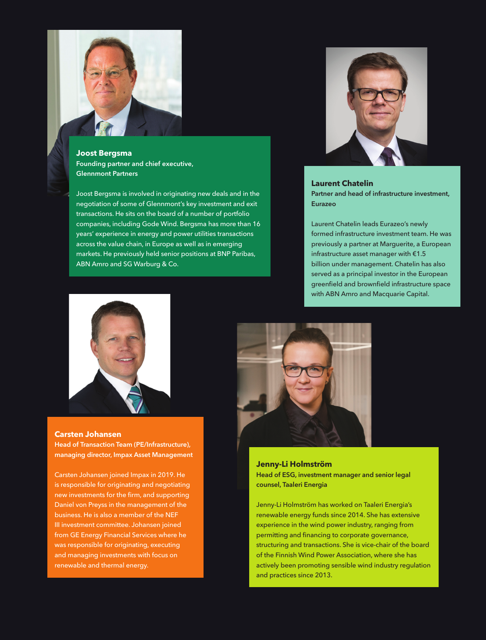

**Joost Bergsma** Founding partner and chief executive, Glennmont Partners

Joost Bergsma is involved in originating new deals and in the negotiation of some of Glennmont's key investment and exit transactions. He sits on the board of a number of portfolio companies, including Gode Wind. Bergsma has more than 16 years' experience in energy and power utilities transactions across the value chain, in Europe as well as in emerging markets. He previously held senior positions at BNP Paribas, ABN Amro and SG Warburg & Co.



# **Laurent Chatelin**

Partner and head of infrastructure investment, Eurazeo

Laurent Chatelin leads Eurazeo's newly formed infrastructure investment team. He was previously a partner at Marguerite, a European infrastructure asset manager with €1.5 billion under management. Chatelin has also served as a principal investor in the European greenfield and brownfield infrastructure space with ABN Amro and Macquarie Capital.



## **Carsten Johansen**

Head of Transaction Team (PE/Infrastructure), managing director, Impax Asset Management

Carsten Johansen joined Impax in 2019. He is responsible for originating and negotiating new investments for the firm, and supporting Daniel von Preyss in the management of the business. He is also a member of the NEF III investment committee. Johansen joined from GE Energy Financial Services where he was responsible for originating, executing and managing investments with focus on renewable and thermal energy.



**Jenny-Li Holmström** Head of ESG, investment manager and senior legal counsel, Taaleri Energia

Jenny-Li Holmström has worked on Taaleri Energia's renewable energy funds since 2014. She has extensive experience in the wind power industry, ranging from permitting and financing to corporate governance, structuring and transactions. She is vice-chair of the board of the Finnish Wind Power Association, where she has actively been promoting sensible wind industry regulation and practices since 2013.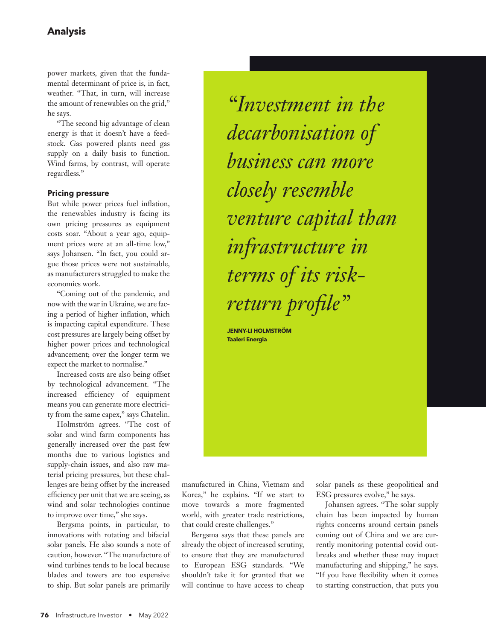power markets, given that the fundamental determinant of price is, in fact, weather. "That, in turn, will increase the amount of renewables on the grid," he says.

"The second big advantage of clean energy is that it doesn't have a feedstock. Gas powered plants need gas supply on a daily basis to function. Wind farms, by contrast, will operate regardless."

## **Pricing pressure**

But while power prices fuel inflation, the renewables industry is facing its own pricing pressures as equipment costs soar. "About a year ago, equipment prices were at an all-time low," says Johansen. "In fact, you could argue those prices were not sustainable, as manufacturers struggled to make the economics work.

"Coming out of the pandemic, and now with the war in Ukraine, we are facing a period of higher inflation, which is impacting capital expenditure. These cost pressures are largely being offset by higher power prices and technological advancement; over the longer term we expect the market to normalise."

Increased costs are also being offset by technological advancement. "The increased efficiency of equipment means you can generate more electricity from the same capex," says Chatelin.

Holmström agrees. "The cost of solar and wind farm components has generally increased over the past few months due to various logistics and supply-chain issues, and also raw material pricing pressures, but these challenges are being offset by the increased efficiency per unit that we are seeing, as wind and solar technologies continue to improve over time," she says.

Bergsma points, in particular, to innovations with rotating and bifacial solar panels. He also sounds a note of caution, however. "The manufacture of wind turbines tends to be local because blades and towers are too expensive to ship. But solar panels are primarily

*"Investment in the decarbonisation of business can more closely resemble venture capital than infrastructure in terms of its riskreturn profile"*

**JENNY-LI HOLMSTRÖM Taaleri Energia**

manufactured in China, Vietnam and Korea," he explains. "If we start to move towards a more fragmented world, with greater trade restrictions, that could create challenges."

Bergsma says that these panels are already the object of increased scrutiny, to ensure that they are manufactured to European ESG standards. "We shouldn't take it for granted that we will continue to have access to cheap solar panels as these geopolitical and ESG pressures evolve," he says.

Johansen agrees. "The solar supply chain has been impacted by human rights concerns around certain panels coming out of China and we are currently monitoring potential covid outbreaks and whether these may impact manufacturing and shipping," he says. "If you have flexibility when it comes to starting construction, that puts you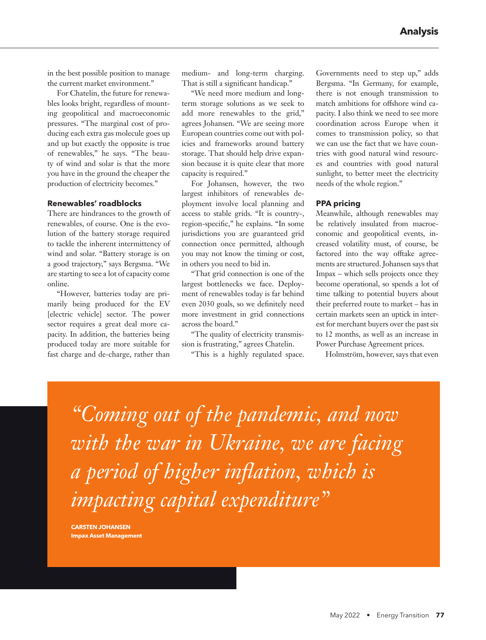in the best possible position to manage the current market environment."

For Chatelin, the future for renewables looks bright, regardless of mounting geopolitical and macroeconomic pressures. "The marginal cost of producing each extra gas molecule goes up and up but exactly the opposite is true of renewables," he says. "The beauty of wind and solar is that the more you have in the ground the cheaper the production of electricity becomes."

#### **Renewables' roadblocks**

There are hindrances to the growth of renewables, of course. One is the evolution of the battery storage required to tackle the inherent intermittency of wind and solar. "Battery storage is on a good trajectory," says Bergsma. "We are starting to see a lot of capacity come online.

"However, batteries today are primarily being produced for the EV [electric vehicle] sector. The power sector requires a great deal more capacity. In addition, the batteries being produced today are more suitable for fast charge and de-charge, rather than

medium- and long-term charging. That is still a significant handicap."

"We need more medium and longterm storage solutions as we seek to add more renewables to the grid," agrees Johansen. "We are seeing more European countries come out with policies and frameworks around battery storage. That should help drive expansion because it is quite clear that more capacity is required."

For Johansen, however, the two largest inhibitors of renewables deployment involve local planning and access to stable grids. "It is country-, region-specific," he explains. "In some jurisdictions you are guaranteed grid connection once permitted, although you may not know the timing or cost, in others you need to bid in.

"That grid connection is one of the largest bottlenecks we face. Deployment of renewables today is far behind even 2030 goals, so we definitely need more investment in grid connections across the board."

"The quality of electricity transmission is frustrating," agrees Chatelin.

"This is a highly regulated space.

Governments need to step up," adds Bergsma. "In Germany, for example, there is not enough transmission to match ambitions for offshore wind capacity. I also think we need to see more coordination across Europe when it comes to transmission policy, so that we can use the fact that we have countries with good natural wind resources and countries with good natural sunlight, to better meet the electricity needs of the whole region."

#### **PPA pricing**

Meanwhile, although renewables may be relatively insulated from macroeconomic and geopolitical events, increased volatility must, of course, be factored into the way offtake agreements are structured. Johansen says that Impax – which sells projects once they become operational, so spends a lot of time talking to potential buyers about their preferred route to market – has in certain markets seen an uptick in interest for merchant buyers over the past six to 12 months, as well as an increase in Power Purchase Agreement prices.

Holmström, however, says that even

*"Coming out of the pandemic, and now with the war in Ukraine, we are facing a period of higher inflation, which is impacting capital expenditure"*

**CARSTEN JOHANSEN Impax Asset Management**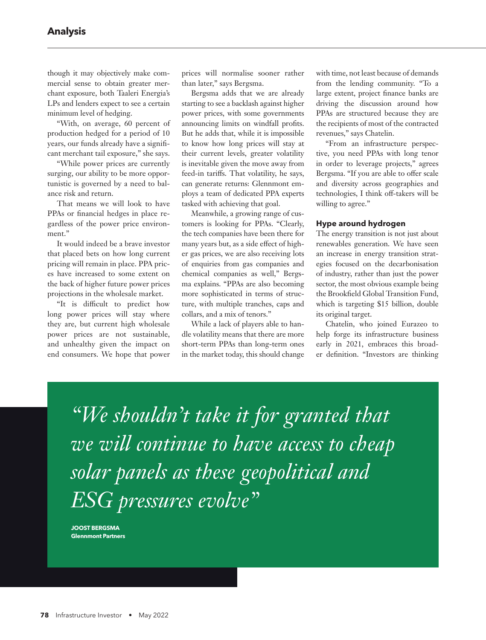though it may objectively make commercial sense to obtain greater merchant exposure, both Taaleri Energia's LPs and lenders expect to see a certain minimum level of hedging.

"With, on average, 60 percent of production hedged for a period of 10 years, our funds already have a significant merchant tail exposure," she says.

"While power prices are currently surging, our ability to be more opportunistic is governed by a need to balance risk and return.

That means we will look to have PPAs or financial hedges in place regardless of the power price environment."

It would indeed be a brave investor that placed bets on how long current pricing will remain in place. PPA prices have increased to some extent on the back of higher future power prices projections in the wholesale market.

"It is difficult to predict how long power prices will stay where they are, but current high wholesale power prices are not sustainable, and unhealthy given the impact on end consumers. We hope that power

prices will normalise sooner rather than later," says Bergsma.

Bergsma adds that we are already starting to see a backlash against higher power prices, with some governments announcing limits on windfall profits. But he adds that, while it is impossible to know how long prices will stay at their current levels, greater volatility is inevitable given the move away from feed-in tariffs. That volatility, he says, can generate returns: Glennmont employs a team of dedicated PPA experts tasked with achieving that goal.

Meanwhile, a growing range of customers is looking for PPAs. "Clearly, the tech companies have been there for many years but, as a side effect of higher gas prices, we are also receiving lots of enquiries from gas companies and chemical companies as well," Bergsma explains. "PPAs are also becoming more sophisticated in terms of structure, with multiple tranches, caps and collars, and a mix of tenors."

While a lack of players able to handle volatility means that there are more short-term PPAs than long-term ones in the market today, this should change with time, not least because of demands from the lending community. "To a large extent, project finance banks are driving the discussion around how PPAs are structured because they are the recipients of most of the contracted revenues," says Chatelin.

"From an infrastructure perspective, you need PPAs with long tenor in order to leverage projects," agrees Bergsma. "If you are able to offer scale and diversity across geographies and technologies, I think off-takers will be willing to agree."

#### **Hype around hydrogen**

The energy transition is not just about renewables generation. We have seen an increase in energy transition strategies focused on the decarbonisation of industry, rather than just the power sector, the most obvious example being the Brookfield Global Transition Fund, which is targeting \$15 billion, double its original target.

Chatelin, who joined Eurazeo to help forge its infrastructure business early in 2021, embraces this broader definition. "Investors are thinking

*"We shouldn't take it for granted that we will continue to have access to cheap solar panels as these geopolitical and ESG pressures evolve"*

**JOOST BERGSMA Glennmont Partners**